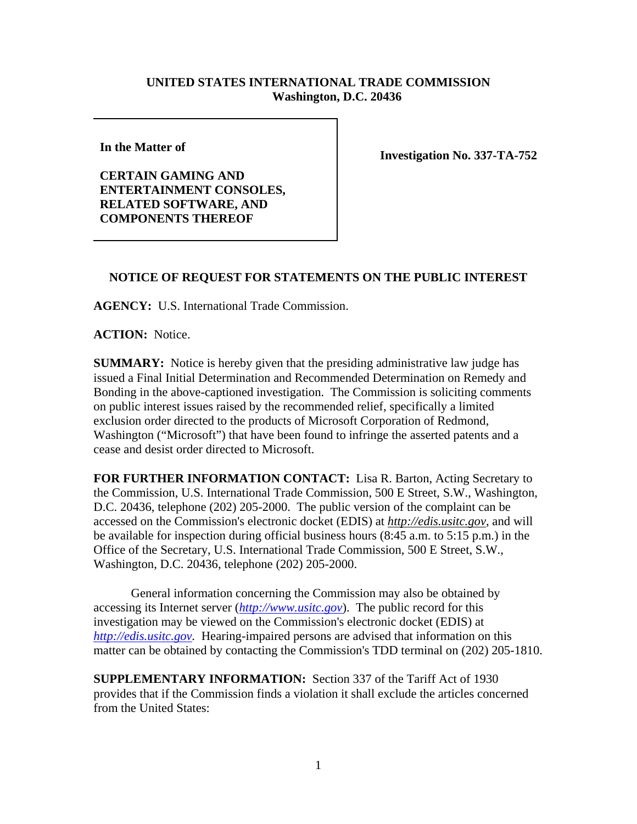## **UNITED STATES INTERNATIONAL TRADE COMMISSION Washington, D.C. 20436**

**In the Matter of** 

**CERTAIN GAMING AND ENTERTAINMENT CONSOLES, RELATED SOFTWARE, AND COMPONENTS THEREOF** 

**Investigation No. 337-TA-752**

## **NOTICE OF REQUEST FOR STATEMENTS ON THE PUBLIC INTEREST**

**AGENCY:** U.S. International Trade Commission.

**ACTION:** Notice.

**SUMMARY:** Notice is hereby given that the presiding administrative law judge has issued a Final Initial Determination and Recommended Determination on Remedy and Bonding in the above-captioned investigation. The Commission is soliciting comments on public interest issues raised by the recommended relief, specifically a limited exclusion order directed to the products of Microsoft Corporation of Redmond, Washington ("Microsoft") that have been found to infringe the asserted patents and a cease and desist order directed to Microsoft.

**FOR FURTHER INFORMATION CONTACT:** Lisa R. Barton, Acting Secretary to the Commission, U.S. International Trade Commission, 500 E Street, S.W., Washington, D.C. 20436, telephone (202) 205-2000. The public version of the complaint can be accessed on the Commission's electronic docket (EDIS) at *http://edis.usitc.gov*, and will be available for inspection during official business hours (8:45 a.m. to 5:15 p.m.) in the Office of the Secretary, U.S. International Trade Commission, 500 E Street, S.W., Washington, D.C. 20436, telephone (202) 205-2000.

General information concerning the Commission may also be obtained by accessing its Internet server (*http://www.usitc.gov*). The public record for this investigation may be viewed on the Commission's electronic docket (EDIS) at *http://edis.usitc.gov.* Hearing-impaired persons are advised that information on this matter can be obtained by contacting the Commission's TDD terminal on (202) 205-1810.

**SUPPLEMENTARY INFORMATION:** Section 337 of the Tariff Act of 1930 provides that if the Commission finds a violation it shall exclude the articles concerned from the United States: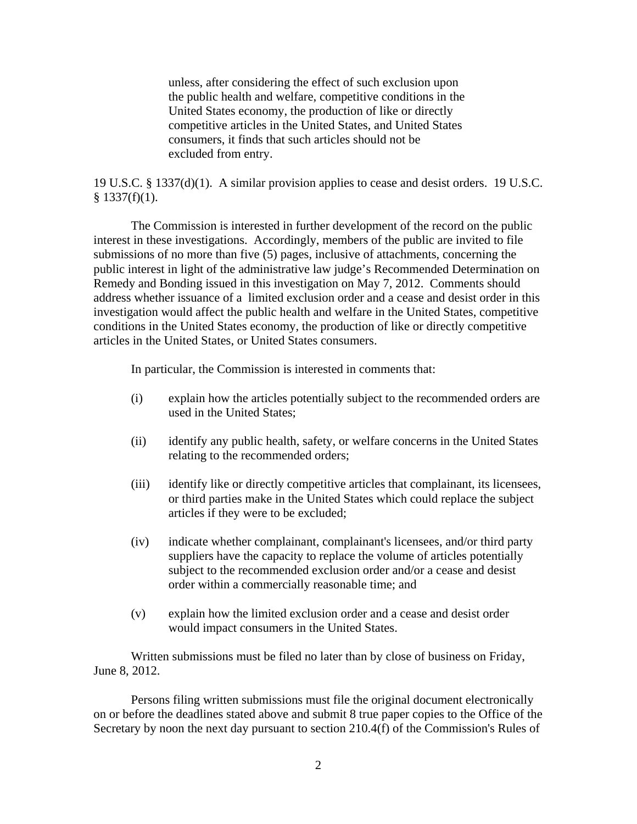unless, after considering the effect of such exclusion upon the public health and welfare, competitive conditions in the United States economy, the production of like or directly competitive articles in the United States, and United States consumers, it finds that such articles should not be excluded from entry.

19 U.S.C. § 1337(d)(1). A similar provision applies to cease and desist orders. 19 U.S.C.  $§$  1337(f)(1).

The Commission is interested in further development of the record on the public interest in these investigations. Accordingly, members of the public are invited to file submissions of no more than five (5) pages, inclusive of attachments, concerning the public interest in light of the administrative law judge's Recommended Determination on Remedy and Bonding issued in this investigation on May 7, 2012. Comments should address whether issuance of a limited exclusion order and a cease and desist order in this investigation would affect the public health and welfare in the United States, competitive conditions in the United States economy, the production of like or directly competitive articles in the United States, or United States consumers.

In particular, the Commission is interested in comments that:

- (i) explain how the articles potentially subject to the recommended orders are used in the United States;
- (ii) identify any public health, safety, or welfare concerns in the United States relating to the recommended orders;
- (iii) identify like or directly competitive articles that complainant, its licensees, or third parties make in the United States which could replace the subject articles if they were to be excluded;
- (iv) indicate whether complainant, complainant's licensees, and/or third party suppliers have the capacity to replace the volume of articles potentially subject to the recommended exclusion order and/or a cease and desist order within a commercially reasonable time; and
- (v) explain how the limited exclusion order and a cease and desist order would impact consumers in the United States.

Written submissions must be filed no later than by close of business on Friday, June 8, 2012.

Persons filing written submissions must file the original document electronically on or before the deadlines stated above and submit 8 true paper copies to the Office of the Secretary by noon the next day pursuant to section 210.4(f) of the Commission's Rules of